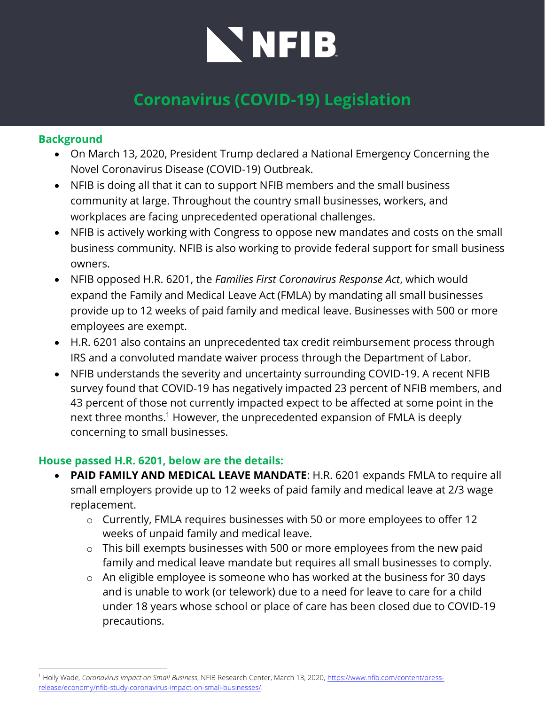# NNFIB

# **Coronavirus (COVID-19) Legislation**

### **Background**

- On March 13, 2020, President Trump declared a National Emergency Concerning the Novel Coronavirus Disease (COVID-19) Outbreak.
- NFIB is doing all that it can to support NFIB members and the small business community at large. Throughout the country small businesses, workers, and workplaces are facing unprecedented operational challenges.
- NFIB is actively working with Congress to oppose new mandates and costs on the small business community. NFIB is also working to provide federal support for small business owners.
- NFIB opposed H.R. 6201, the *Families First Coronavirus Response Act*, which would expand the Family and Medical Leave Act (FMLA) by mandating all small businesses provide up to 12 weeks of paid family and medical leave. Businesses with 500 or more employees are exempt.
- H.R. 6201 also contains an unprecedented tax credit reimbursement process through IRS and a convoluted mandate waiver process through the Department of Labor.
- NFIB understands the severity and uncertainty surrounding COVID-19. A recent NFIB survey found that COVID-19 has negatively impacted 23 percent of NFIB members, and 43 percent of those not currently impacted expect to be affected at some point in the next three months.<sup>1</sup> However, the unprecedented expansion of FMLA is deeply concerning to small businesses.

#### **House passed H.R. 6201, below are the details:**

- **PAID FAMILY AND MEDICAL LEAVE MANDATE**: H.R. 6201 expands FMLA to require all small employers provide up to 12 weeks of paid family and medical leave at 2/3 wage replacement.
	- o Currently, FMLA requires businesses with 50 or more employees to offer 12 weeks of unpaid family and medical leave.
	- o This bill exempts businesses with 500 or more employees from the new paid family and medical leave mandate but requires all small businesses to comply.
	- o An eligible employee is someone who has worked at the business for 30 days and is unable to work (or telework) due to a need for leave to care for a child under 18 years whose school or place of care has been closed due to COVID-19 precautions.

<sup>1</sup> Holly Wade, *Coronavirus Impact on Small Business*, NFIB Research Center, March 13, 2020, [https://www.nfib.com/content/press](https://www.nfib.com/content/press-release/economy/nfib-study-coronavirus-impact-on-small-businesses/)[release/economy/nfib-study-coronavirus-impact-on-small-businesses/.](https://www.nfib.com/content/press-release/economy/nfib-study-coronavirus-impact-on-small-businesses/)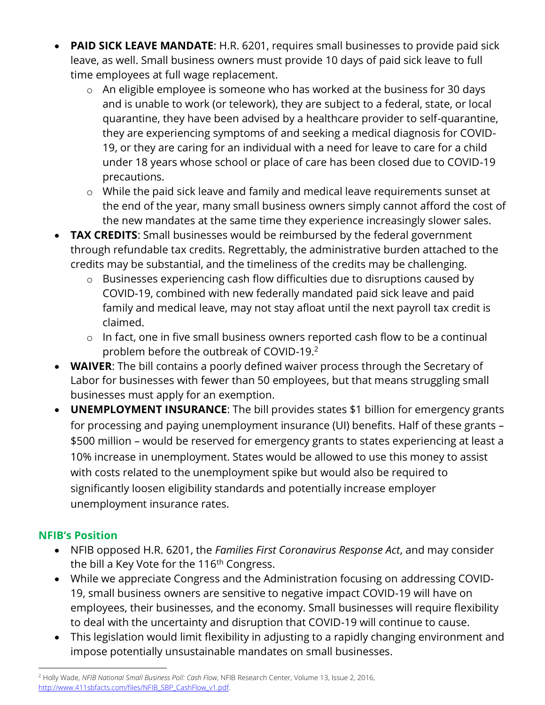- **PAID SICK LEAVE MANDATE**: H.R. 6201, requires small businesses to provide paid sick leave, as well. Small business owners must provide 10 days of paid sick leave to full time employees at full wage replacement.
	- o An eligible employee is someone who has worked at the business for 30 days and is unable to work (or telework), they are subject to a federal, state, or local quarantine, they have been advised by a healthcare provider to self-quarantine, they are experiencing symptoms of and seeking a medical diagnosis for COVID-19, or they are caring for an individual with a need for leave to care for a child under 18 years whose school or place of care has been closed due to COVID-19 precautions.
	- o While the paid sick leave and family and medical leave requirements sunset at the end of the year, many small business owners simply cannot afford the cost of the new mandates at the same time they experience increasingly slower sales.
- **TAX CREDITS:** Small businesses would be reimbursed by the federal government through refundable tax credits. Regrettably, the administrative burden attached to the credits may be substantial, and the timeliness of the credits may be challenging.
	- o Businesses experiencing cash flow difficulties due to disruptions caused by COVID-19, combined with new federally mandated paid sick leave and paid family and medical leave, may not stay afloat until the next payroll tax credit is claimed.
	- o In fact, one in five small business owners reported cash flow to be a continual problem before the outbreak of COVID-19.<sup>2</sup>
- **WAIVER**: The bill contains a poorly defined waiver process through the Secretary of Labor for businesses with fewer than 50 employees, but that means struggling small businesses must apply for an exemption.
- **UNEMPLOYMENT INSURANCE**: The bill provides states \$1 billion for emergency grants for processing and paying unemployment insurance (UI) benefits. Half of these grants – \$500 million – would be reserved for emergency grants to states experiencing at least a 10% increase in unemployment. States would be allowed to use this money to assist with costs related to the unemployment spike but would also be required to significantly loosen eligibility standards and potentially increase employer unemployment insurance rates.

## **NFIB's Position**

- NFIB opposed H.R. 6201, the *Families First Coronavirus Response Act*, and may consider the bill a Key Vote for the 116<sup>th</sup> Congress.
- While we appreciate Congress and the Administration focusing on addressing COVID-19, small business owners are sensitive to negative impact COVID-19 will have on employees, their businesses, and the economy. Small businesses will require flexibility to deal with the uncertainty and disruption that COVID-19 will continue to cause.
- This legislation would limit flexibility in adjusting to a rapidly changing environment and impose potentially unsustainable mandates on small businesses.

<sup>2</sup> Holly Wade, *NFIB National Small Business Poll: Cash Flow*, NFIB Research Center, Volume 13, Issue 2, 2016, [http://www.411sbfacts.com/files/NFIB\\_SBP\\_CashFlow\\_v1.pdf.](http://www.411sbfacts.com/files/NFIB_SBP_CashFlow_v1.pdf)